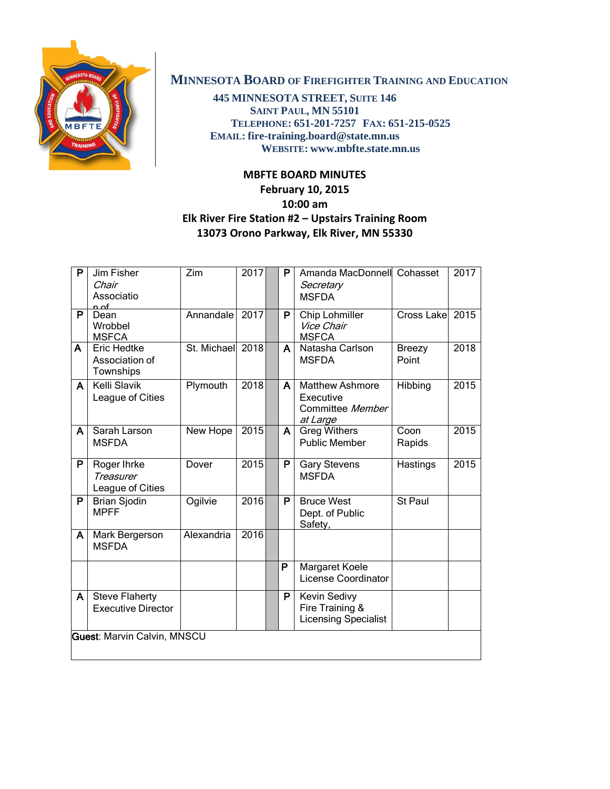

## **MINNESOTA BOARD OF FIREFIGHTER TRAINING AND EDUCATION**

**445 MINNESOTA STREET, SUITE 146 SAINT PAUL, MN 55101 TELEPHONE: 651-201-7257 FAX: 651-215-0525 EMAIL: fire-training.board@state.mn.us WEBSITE: www.mbfte.state.mn.us**

## **MBFTE BOARD MINUTES**

## **February 10, 2015 10:00 am Elk River Fire Station #2 – Upstairs Training Room 13073 Orono Parkway, Elk River, MN 55330**

| P                                  | Jim Fisher<br>Chair<br>Associatio<br>n of           | Zim              | 2017 |  | P | Amanda MacDonnell Cohasset<br>Secretary<br><b>MSFDA</b>             |                        | 2017 |
|------------------------------------|-----------------------------------------------------|------------------|------|--|---|---------------------------------------------------------------------|------------------------|------|
| P                                  | Dean<br>Wrobbel<br><b>MSFCA</b>                     | Annandale        | 2017 |  | P | Chip Lohmiller<br>Vice Chair<br><b>MSFCA</b>                        | Cross Lake 2015        |      |
| A                                  | Eric Hedtke<br>Association of<br>Townships          | St. Michael 2018 |      |  | A | Natasha Carlson<br><b>MSFDA</b>                                     | <b>Breezy</b><br>Point | 2018 |
| A                                  | <b>Kelli Slavik</b><br>League of Cities             | Plymouth         | 2018 |  | A | <b>Matthew Ashmore</b><br>Executive<br>Committee Member<br>at Large | Hibbing                | 2015 |
| A                                  | Sarah Larson<br><b>MSFDA</b>                        | New Hope         | 2015 |  | A | <b>Greg Withers</b><br><b>Public Member</b>                         | Coon<br>Rapids         | 2015 |
| P                                  | Roger Ihrke<br><b>Treasurer</b><br>League of Cities | Dover            | 2015 |  | P | <b>Gary Stevens</b><br><b>MSFDA</b>                                 | Hastings               | 2015 |
| P                                  | <b>Brian Sjodin</b><br><b>MPFF</b>                  | Ogilvie          | 2016 |  | P | <b>Bruce West</b><br>Dept. of Public<br>Safety,                     | St Paul                |      |
| A                                  | Mark Bergerson<br><b>MSFDA</b>                      | Alexandria       | 2016 |  |   |                                                                     |                        |      |
|                                    |                                                     |                  |      |  | P | Margaret Koele<br><b>License Coordinator</b>                        |                        |      |
| A                                  | <b>Steve Flaherty</b><br><b>Executive Director</b>  |                  |      |  | P | Kevin Sedivy<br>Fire Training &<br><b>Licensing Specialist</b>      |                        |      |
| <b>Guest: Marvin Calvin, MNSCU</b> |                                                     |                  |      |  |   |                                                                     |                        |      |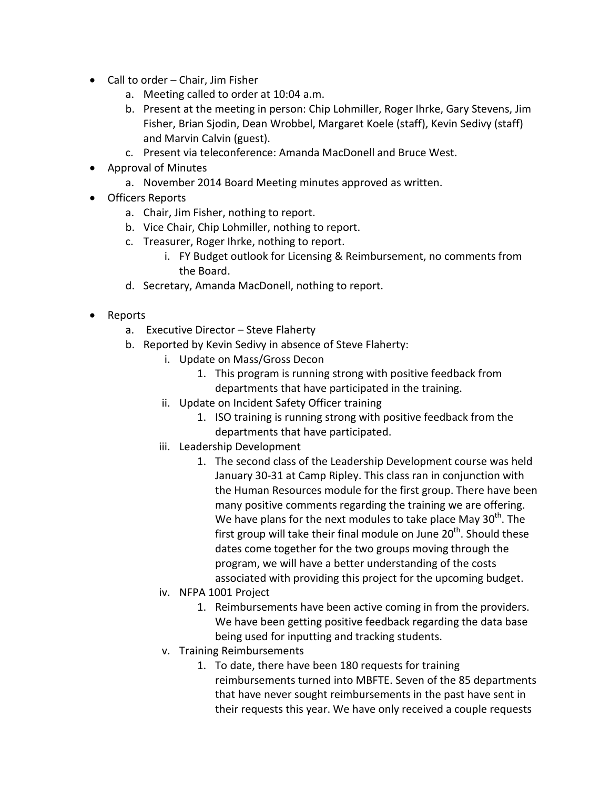- Call to order Chair, Jim Fisher
	- a. Meeting called to order at 10:04 a.m.
	- b. Present at the meeting in person: Chip Lohmiller, Roger Ihrke, Gary Stevens, Jim Fisher, Brian Sjodin, Dean Wrobbel, Margaret Koele (staff), Kevin Sedivy (staff) and Marvin Calvin (guest).
	- c. Present via teleconference: Amanda MacDonell and Bruce West.
- Approval of Minutes
	- a. November 2014 Board Meeting minutes approved as written.
- Officers Reports
	- a. Chair, Jim Fisher, nothing to report.
	- b. Vice Chair, Chip Lohmiller, nothing to report.
	- c. Treasurer, Roger Ihrke, nothing to report.
		- i. FY Budget outlook for Licensing & Reimbursement, no comments from the Board.
	- d. Secretary, Amanda MacDonell, nothing to report.
- Reports
	- a. Executive Director Steve Flaherty
	- b. Reported by Kevin Sedivy in absence of Steve Flaherty:
		- i. Update on Mass/Gross Decon
			- 1. This program is running strong with positive feedback from departments that have participated in the training.
		- ii. Update on Incident Safety Officer training
			- 1. ISO training is running strong with positive feedback from the departments that have participated.
		- iii. Leadership Development
			- 1. The second class of the Leadership Development course was held January 30-31 at Camp Ripley. This class ran in conjunction with the Human Resources module for the first group. There have been many positive comments regarding the training we are offering. We have plans for the next modules to take place May  $30<sup>th</sup>$ . The first group will take their final module on June  $20<sup>th</sup>$ . Should these dates come together for the two groups moving through the program, we will have a better understanding of the costs associated with providing this project for the upcoming budget.
		- iv. NFPA 1001 Project
			- 1. Reimbursements have been active coming in from the providers. We have been getting positive feedback regarding the data base being used for inputting and tracking students.
		- v. Training Reimbursements
			- 1. To date, there have been 180 requests for training reimbursements turned into MBFTE. Seven of the 85 departments that have never sought reimbursements in the past have sent in their requests this year. We have only received a couple requests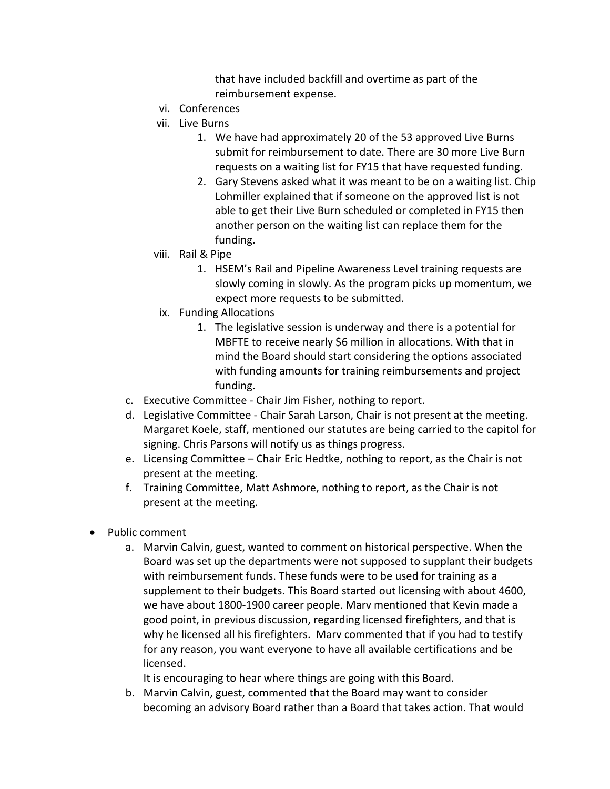that have included backfill and overtime as part of the reimbursement expense.

- vi. Conferences
- vii. Live Burns
	- 1. We have had approximately 20 of the 53 approved Live Burns submit for reimbursement to date. There are 30 more Live Burn requests on a waiting list for FY15 that have requested funding.
	- 2. Gary Stevens asked what it was meant to be on a waiting list. Chip Lohmiller explained that if someone on the approved list is not able to get their Live Burn scheduled or completed in FY15 then another person on the waiting list can replace them for the funding.
- viii. Rail & Pipe
	- 1. HSEM's Rail and Pipeline Awareness Level training requests are slowly coming in slowly. As the program picks up momentum, we expect more requests to be submitted.
- ix. Funding Allocations
	- 1. The legislative session is underway and there is a potential for MBFTE to receive nearly \$6 million in allocations. With that in mind the Board should start considering the options associated with funding amounts for training reimbursements and project funding.
- c. Executive Committee Chair Jim Fisher, nothing to report.
- d. Legislative Committee Chair Sarah Larson, Chair is not present at the meeting. Margaret Koele, staff, mentioned our statutes are being carried to the capitol for signing. Chris Parsons will notify us as things progress.
- e. Licensing Committee Chair Eric Hedtke, nothing to report, as the Chair is not present at the meeting.
- f. Training Committee, Matt Ashmore, nothing to report, as the Chair is not present at the meeting.
- Public comment
	- a. Marvin Calvin, guest, wanted to comment on historical perspective. When the Board was set up the departments were not supposed to supplant their budgets with reimbursement funds. These funds were to be used for training as a supplement to their budgets. This Board started out licensing with about 4600, we have about 1800-1900 career people. Marv mentioned that Kevin made a good point, in previous discussion, regarding licensed firefighters, and that is why he licensed all his firefighters. Marv commented that if you had to testify for any reason, you want everyone to have all available certifications and be licensed.

It is encouraging to hear where things are going with this Board.

b. Marvin Calvin, guest, commented that the Board may want to consider becoming an advisory Board rather than a Board that takes action. That would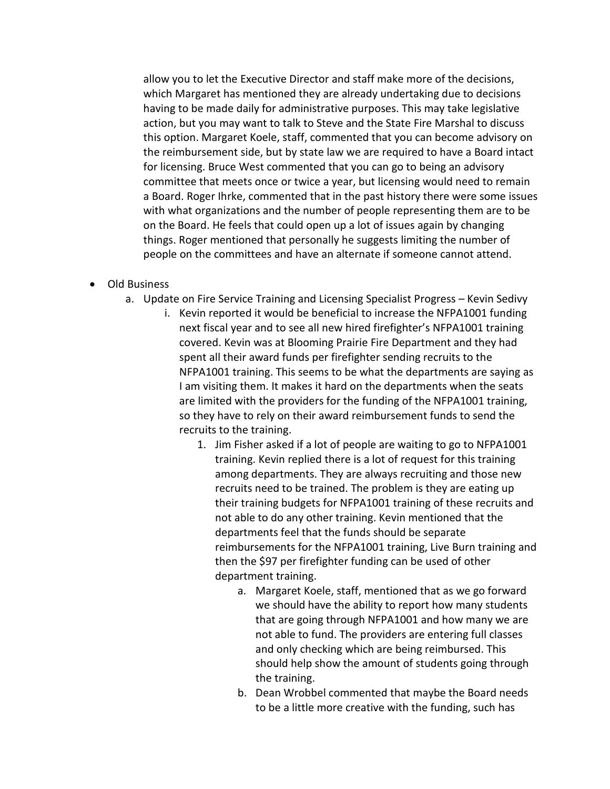allow you to let the Executive Director and staff make more of the decisions, which Margaret has mentioned they are already undertaking due to decisions having to be made daily for administrative purposes. This may take legislative action, but you may want to talk to Steve and the State Fire Marshal to discuss this option. Margaret Koele, staff, commented that you can become advisory on the reimbursement side, but by state law we are required to have a Board intact for licensing. Bruce West commented that you can go to being an advisory committee that meets once or twice a year, but licensing would need to remain a Board. Roger Ihrke, commented that in the past history there were some issues with what organizations and the number of people representing them are to be on the Board. He feels that could open up a lot of issues again by changing things. Roger mentioned that personally he suggests limiting the number of people on the committees and have an alternate if someone cannot attend.

- Old Business
	- a. Update on Fire Service Training and Licensing Specialist Progress Kevin Sedivy
		- i. Kevin reported it would be beneficial to increase the NFPA1001 funding next fiscal year and to see all new hired firefighter's NFPA1001 training covered. Kevin was at Blooming Prairie Fire Department and they had spent all their award funds per firefighter sending recruits to the NFPA1001 training. This seems to be what the departments are saying as I am visiting them. It makes it hard on the departments when the seats are limited with the providers for the funding of the NFPA1001 training, so they have to rely on their award reimbursement funds to send the recruits to the training.
			- 1. Jim Fisher asked if a lot of people are waiting to go to NFPA1001 training. Kevin replied there is a lot of request for this training among departments. They are always recruiting and those new recruits need to be trained. The problem is they are eating up their training budgets for NFPA1001 training of these recruits and not able to do any other training. Kevin mentioned that the departments feel that the funds should be separate reimbursements for the NFPA1001 training, Live Burn training and then the \$97 per firefighter funding can be used of other department training.
				- a. Margaret Koele, staff, mentioned that as we go forward we should have the ability to report how many students that are going through NFPA1001 and how many we are not able to fund. The providers are entering full classes and only checking which are being reimbursed. This should help show the amount of students going through the training.
				- b. Dean Wrobbel commented that maybe the Board needs to be a little more creative with the funding, such has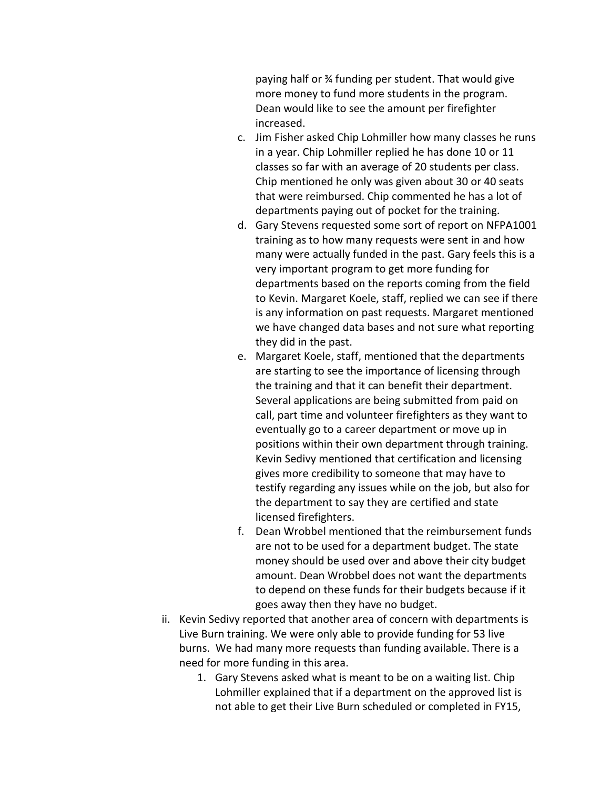paying half or ¾ funding per student. That would give more money to fund more students in the program. Dean would like to see the amount per firefighter increased.

- c. Jim Fisher asked Chip Lohmiller how many classes he runs in a year. Chip Lohmiller replied he has done 10 or 11 classes so far with an average of 20 students per class. Chip mentioned he only was given about 30 or 40 seats that were reimbursed. Chip commented he has a lot of departments paying out of pocket for the training.
- d. Gary Stevens requested some sort of report on NFPA1001 training as to how many requests were sent in and how many were actually funded in the past. Gary feels this is a very important program to get more funding for departments based on the reports coming from the field to Kevin. Margaret Koele, staff, replied we can see if there is any information on past requests. Margaret mentioned we have changed data bases and not sure what reporting they did in the past.
- e. Margaret Koele, staff, mentioned that the departments are starting to see the importance of licensing through the training and that it can benefit their department. Several applications are being submitted from paid on call, part time and volunteer firefighters as they want to eventually go to a career department or move up in positions within their own department through training. Kevin Sedivy mentioned that certification and licensing gives more credibility to someone that may have to testify regarding any issues while on the job, but also for the department to say they are certified and state licensed firefighters.
- f. Dean Wrobbel mentioned that the reimbursement funds are not to be used for a department budget. The state money should be used over and above their city budget amount. Dean Wrobbel does not want the departments to depend on these funds for their budgets because if it goes away then they have no budget.
- ii. Kevin Sedivy reported that another area of concern with departments is Live Burn training. We were only able to provide funding for 53 live burns. We had many more requests than funding available. There is a need for more funding in this area.
	- 1. Gary Stevens asked what is meant to be on a waiting list. Chip Lohmiller explained that if a department on the approved list is not able to get their Live Burn scheduled or completed in FY15,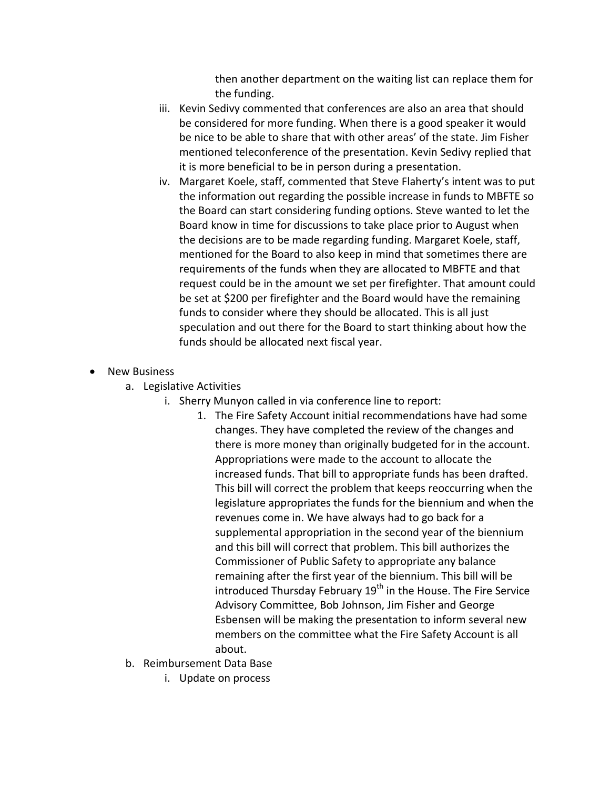then another department on the waiting list can replace them for the funding.

- iii. Kevin Sedivy commented that conferences are also an area that should be considered for more funding. When there is a good speaker it would be nice to be able to share that with other areas' of the state. Jim Fisher mentioned teleconference of the presentation. Kevin Sedivy replied that it is more beneficial to be in person during a presentation.
- iv. Margaret Koele, staff, commented that Steve Flaherty's intent was to put the information out regarding the possible increase in funds to MBFTE so the Board can start considering funding options. Steve wanted to let the Board know in time for discussions to take place prior to August when the decisions are to be made regarding funding. Margaret Koele, staff, mentioned for the Board to also keep in mind that sometimes there are requirements of the funds when they are allocated to MBFTE and that request could be in the amount we set per firefighter. That amount could be set at \$200 per firefighter and the Board would have the remaining funds to consider where they should be allocated. This is all just speculation and out there for the Board to start thinking about how the funds should be allocated next fiscal year.
- **New Business** 
	- a. Legislative Activities
		- i. Sherry Munyon called in via conference line to report:
			- 1. The Fire Safety Account initial recommendations have had some changes. They have completed the review of the changes and there is more money than originally budgeted for in the account. Appropriations were made to the account to allocate the increased funds. That bill to appropriate funds has been drafted. This bill will correct the problem that keeps reoccurring when the legislature appropriates the funds for the biennium and when the revenues come in. We have always had to go back for a supplemental appropriation in the second year of the biennium and this bill will correct that problem. This bill authorizes the Commissioner of Public Safety to appropriate any balance remaining after the first year of the biennium. This bill will be introduced Thursday February 19<sup>th</sup> in the House. The Fire Service Advisory Committee, Bob Johnson, Jim Fisher and George Esbensen will be making the presentation to inform several new members on the committee what the Fire Safety Account is all about.
	- b. Reimbursement Data Base
		- i. Update on process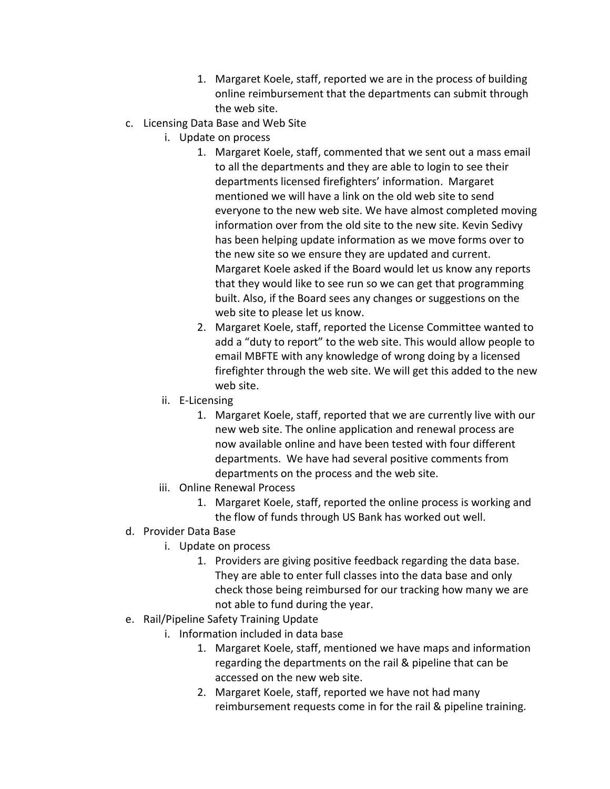- 1. Margaret Koele, staff, reported we are in the process of building online reimbursement that the departments can submit through the web site.
- c. Licensing Data Base and Web Site
	- i. Update on process
		- 1. Margaret Koele, staff, commented that we sent out a mass email to all the departments and they are able to login to see their departments licensed firefighters' information. Margaret mentioned we will have a link on the old web site to send everyone to the new web site. We have almost completed moving information over from the old site to the new site. Kevin Sedivy has been helping update information as we move forms over to the new site so we ensure they are updated and current. Margaret Koele asked if the Board would let us know any reports that they would like to see run so we can get that programming built. Also, if the Board sees any changes or suggestions on the web site to please let us know.
		- 2. Margaret Koele, staff, reported the License Committee wanted to add a "duty to report" to the web site. This would allow people to email MBFTE with any knowledge of wrong doing by a licensed firefighter through the web site. We will get this added to the new web site.
	- ii. E-Licensing
		- 1. Margaret Koele, staff, reported that we are currently live with our new web site. The online application and renewal process are now available online and have been tested with four different departments. We have had several positive comments from departments on the process and the web site.
	- iii. Online Renewal Process
		- 1. Margaret Koele, staff, reported the online process is working and the flow of funds through US Bank has worked out well.
- d. Provider Data Base
	- i. Update on process
		- 1. Providers are giving positive feedback regarding the data base. They are able to enter full classes into the data base and only check those being reimbursed for our tracking how many we are not able to fund during the year.
- e. Rail/Pipeline Safety Training Update
	- i. Information included in data base
		- 1. Margaret Koele, staff, mentioned we have maps and information regarding the departments on the rail & pipeline that can be accessed on the new web site.
		- 2. Margaret Koele, staff, reported we have not had many reimbursement requests come in for the rail & pipeline training.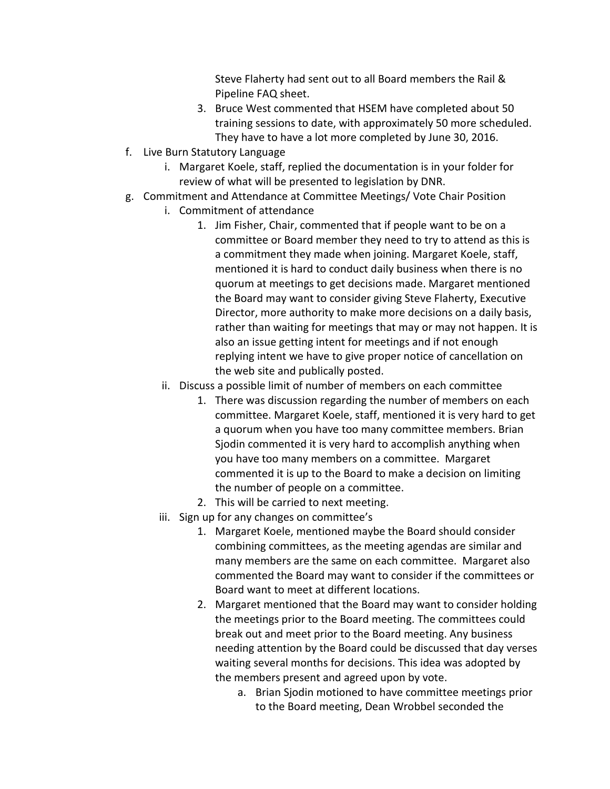Steve Flaherty had sent out to all Board members the Rail & Pipeline FAQ sheet.

- 3. Bruce West commented that HSEM have completed about 50 training sessions to date, with approximately 50 more scheduled. They have to have a lot more completed by June 30, 2016.
- f. Live Burn Statutory Language
	- i. Margaret Koele, staff, replied the documentation is in your folder for review of what will be presented to legislation by DNR.
- g. Commitment and Attendance at Committee Meetings/ Vote Chair Position
	- i. Commitment of attendance
		- 1. Jim Fisher, Chair, commented that if people want to be on a committee or Board member they need to try to attend as this is a commitment they made when joining. Margaret Koele, staff, mentioned it is hard to conduct daily business when there is no quorum at meetings to get decisions made. Margaret mentioned the Board may want to consider giving Steve Flaherty, Executive Director, more authority to make more decisions on a daily basis, rather than waiting for meetings that may or may not happen. It is also an issue getting intent for meetings and if not enough replying intent we have to give proper notice of cancellation on the web site and publically posted.
	- ii. Discuss a possible limit of number of members on each committee
		- 1. There was discussion regarding the number of members on each committee. Margaret Koele, staff, mentioned it is very hard to get a quorum when you have too many committee members. Brian Sjodin commented it is very hard to accomplish anything when you have too many members on a committee. Margaret commented it is up to the Board to make a decision on limiting the number of people on a committee.
		- 2. This will be carried to next meeting.
	- iii. Sign up for any changes on committee's
		- 1. Margaret Koele, mentioned maybe the Board should consider combining committees, as the meeting agendas are similar and many members are the same on each committee. Margaret also commented the Board may want to consider if the committees or Board want to meet at different locations.
		- 2. Margaret mentioned that the Board may want to consider holding the meetings prior to the Board meeting. The committees could break out and meet prior to the Board meeting. Any business needing attention by the Board could be discussed that day verses waiting several months for decisions. This idea was adopted by the members present and agreed upon by vote.
			- a. Brian Sjodin motioned to have committee meetings prior to the Board meeting, Dean Wrobbel seconded the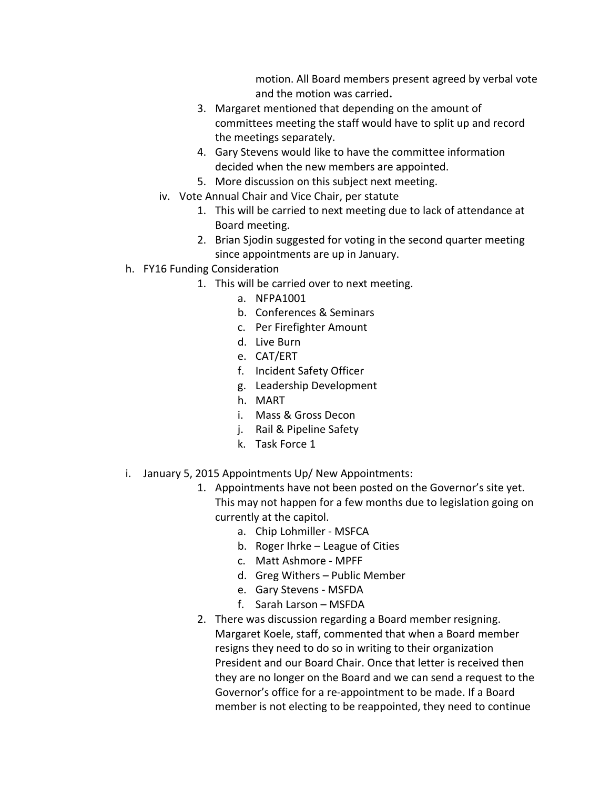motion. All Board members present agreed by verbal vote and the motion was carried**.** 

- 3. Margaret mentioned that depending on the amount of committees meeting the staff would have to split up and record the meetings separately.
- 4. Gary Stevens would like to have the committee information decided when the new members are appointed.
- 5. More discussion on this subject next meeting.
- iv. Vote Annual Chair and Vice Chair, per statute
	- 1. This will be carried to next meeting due to lack of attendance at Board meeting.
	- 2. Brian Sjodin suggested for voting in the second quarter meeting since appointments are up in January.
- h. FY16 Funding Consideration
	- 1. This will be carried over to next meeting.
		- a. NFPA1001
		- b. Conferences & Seminars
		- c. Per Firefighter Amount
		- d. Live Burn
		- e. CAT/ERT
		- f. Incident Safety Officer
		- g. Leadership Development
		- h. MART
		- i. Mass & Gross Decon
		- j. Rail & Pipeline Safety
		- k. Task Force 1
- i. January 5, 2015 Appointments Up/ New Appointments:
	- 1. Appointments have not been posted on the Governor's site yet. This may not happen for a few months due to legislation going on currently at the capitol.
		- a. Chip Lohmiller MSFCA
		- b. Roger Ihrke League of Cities
		- c. Matt Ashmore MPFF
		- d. Greg Withers Public Member
		- e. Gary Stevens MSFDA
		- f. Sarah Larson MSFDA
	- 2. There was discussion regarding a Board member resigning. Margaret Koele, staff, commented that when a Board member resigns they need to do so in writing to their organization President and our Board Chair. Once that letter is received then they are no longer on the Board and we can send a request to the Governor's office for a re-appointment to be made. If a Board member is not electing to be reappointed, they need to continue